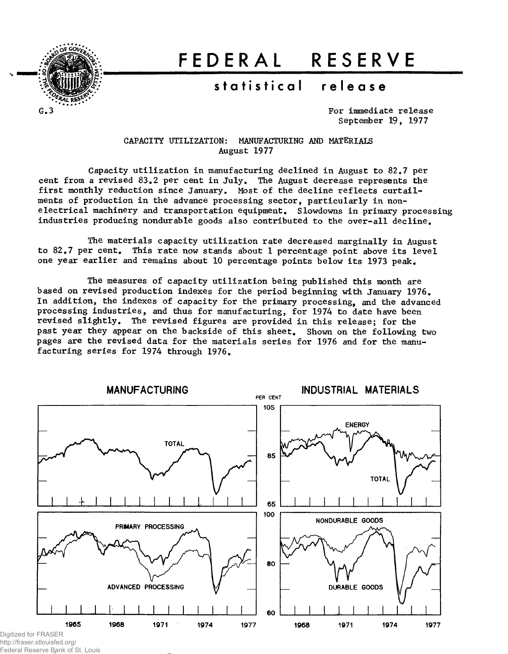

# **FEDERA L RESERV E**

# $statistical$  release

For immediate release September 19, 1977

CAPACITY UTILIZATION: MANUFACTURING AND MATERIALS August 1977

Capacity utilization in manufacturing declined in August to 82.7 per cent from a revised 83.2 per cent in July. The August decrease represents the first monthly reduction since January. Most of the decline reflects curtailments of production in the advance processing sector, particularly in nonelectrical machinery and transportation equipment. Slowdowns in primary processing industries producing nondurable goods also contributed to the over-all decline.

The materials capacity utilization rate decreased marginally in August to 82.7 per cent. This rate now stands about 1 percentage point above its level one year earlier and remains about 10 percentage points below its 1973 peak.

The measures of capacity utilization being published this month are based on revised production indexes for the period beginning with January 1976. In addition, the indexes of capacity for the primary processing, and the advanced processing industries, and thus for manufacturing, for 1974 to date have been revised slightly. The revised figures are provided in this release; for the past year they appear on the backside of this sheet. Shown on the following two pages are the revised data for the materials series for 1976 and for the manufacturing series for 1974 through 1976.



Digitized for FRASER http://fraser.stlouisfed.org/

Federal Reserve Bank of St. Louis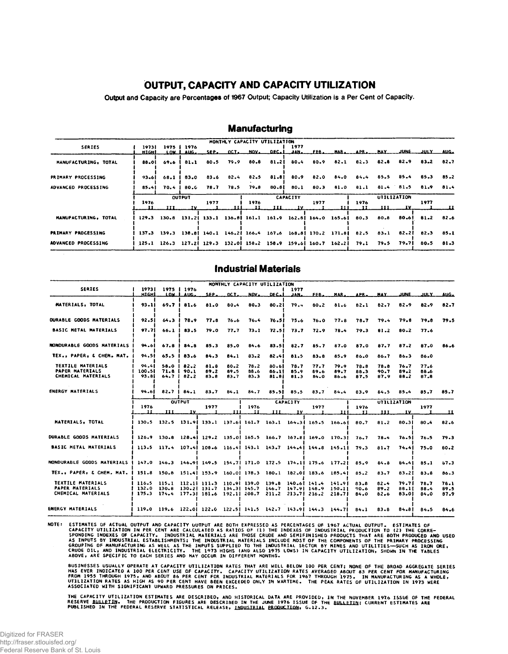# **OUTPUT, CAPACITY AND CAPACITY UTILIZATION**

Output and Capacity are Percentages of 1967 Output; Capacity Utilization is a Per Cent of Capacity.

|                            |       |      |               |                  |           | MONTHLY CAPACITY UTILIZATION |                 |                 |      |       |                                                                                      |             |    |                      |      |
|----------------------------|-------|------|---------------|------------------|-----------|------------------------------|-----------------|-----------------|------|-------|--------------------------------------------------------------------------------------|-------------|----|----------------------|------|
| <b>SERIES</b>              | 19731 |      | 1975   1976   |                  |           |                              |                 | 1977            |      |       |                                                                                      |             |    |                      |      |
|                            | HIGHI |      | LOW LAUG.     |                  |           | SEP. OCT. NOV. DEC.L         |                 |                 |      |       | JAN. FEB. MAR. APR. MAY JUNE JULY AUG.                                               |             |    |                      |      |
| MANUFACTURING, TOTAL       | 88.OL |      | 69.6   81.1   | 80.5             | 79.9      |                              |                 |                 |      |       | 80.8 81.2 80.4 80.9 82.1 82.3 82.8                                                   |             |    | 82.9 83.2            | 82.7 |
| PRIMARY PROCESSING         | 93.61 |      | 68.1   83.0   |                  | 83.6 82.4 |                              |                 |                 |      |       | 82.5 81.8  80.9 82.0 84.0 84.4                                                       | 85.5        |    | $85.4$ $85.3$ $85.2$ |      |
| <b>ADVANCED PROCESSING</b> | 85.41 |      |               | 70.4   80.6 78.7 | 78.5      |                              | 79.8 80.81 80.1 |                 |      |       | 80.3 81.0 81.1 81.4 81.5 81.9 81.4                                                   |             |    |                      |      |
|                            |       |      | <b>OUTPUT</b> |                  |           |                              |                 | <b>CAPACITY</b> |      |       |                                                                                      | UTILIZATION |    |                      |      |
|                            | 1976  | 11 I | TV.           | 1977             |           | 1976                         | ш               | IV.             | 1977 | 1 T I | 1976                                                                                 | ш           | 1V | 1977                 |      |
| MANUFACTURING, TOTAL       | 129.3 |      |               |                  |           |                              |                 |                 |      |       | 130.8 131.2 133.1 136.8 161.1 161.9 162.8 164.0 165.6 80.3 80.8                      |             |    | 80.6 81.2 82.6       |      |
| <b>PRIMARY PROCESSING</b>  |       |      |               |                  |           |                              |                 |                 |      |       | 137.3 139.3 138.8 140.1 146.2 166.4 167.6 168.8 170.2 171.8 82.5 83.1 82.2 82.3 85.1 |             |    |                      |      |
| <b>ADVANCED PROCESSING</b> |       |      |               |                  |           |                              |                 |                 |      |       | 125.1 126.3 127.2  129.3 132.0  158.2 158.9 159.6  160.7 162.2  79.1 79.5 79.7  80.5 |             |    |                      | 81.3 |

# **Manufacturing**

### Industrial Materials

|                                                                                                   |                                                                                 |                   |                                      |                                                                                                 |                      | MONTHLY CAPACITY UTILIZATION |                         |                                     |                      |                      |                      |                      |                         |                      |                      |
|---------------------------------------------------------------------------------------------------|---------------------------------------------------------------------------------|-------------------|--------------------------------------|-------------------------------------------------------------------------------------------------|----------------------|------------------------------|-------------------------|-------------------------------------|----------------------|----------------------|----------------------|----------------------|-------------------------|----------------------|----------------------|
| <b>SERIES</b>                                                                                     | 1973  <br>нісні                                                                 | 1975 <sub>1</sub> | 1976<br>LOW. I. AUG.                 | SEP.                                                                                            | OCT.                 | NOV.                         | DEC.L                   | 1977<br>$\mathbf{A}$ N $\mathbf{A}$ | FEB.                 | MAR.                 | APR.                 | MAY.                 | JUNE.                   | JULY                 | AUC.                 |
| MATERIALS, TOTAL                                                                                  | 93.11                                                                           | 69.7 <sup>1</sup> | 81.6                                 | 81.0                                                                                            | 80.4                 | 80.3                         | 80.21                   | 79.4                                | $80 - 2$             | 81.6                 | 82.1                 | 82.7                 | 82.9                    | 82.9                 | 82.7                 |
| <b>DURABLE GOODS MATERIALS</b>                                                                    | 92.51                                                                           | 64.3              | 78.9                                 | 77.8                                                                                            | 76.6                 | 76.4                         | 76.51                   | 75.6                                | 76.0                 | 77.8                 | 78.7                 | 79.4                 | 79.6                    | 79.8                 | 79.5                 |
| <b>BASIC METAL MATERIALS</b>                                                                      | 97.71                                                                           | 66.1              | 83.5                                 | 79.0                                                                                            | 77.7                 | 73.1                         | 72.51                   | 73.7                                | 72.9                 | 78.4                 | 79.3                 | $01 - 2$             | 80.2                    | 77.6                 |                      |
| NONDURABLE GOODS MATERIALS                                                                        | 94.61                                                                           | 67.8              | $84 - 8$                             | 85.3                                                                                            | 85.0                 | 84.6                         | 83.51                   | 82.7                                | 85.7                 | 87.0                 | 87.0                 | 87.7                 | 87.2                    | 87.0                 | 86.6                 |
| TEX., PAPER, & CHEM. MAT.                                                                         | 94.51                                                                           | 65.5              | 83.6                                 | 84.3                                                                                            | 84.1                 | $83 - 2$                     | 82.41                   | 81.5                                | $83 - 8$             | 85.9                 | 86.0                 | 86.7                 | 86.3                    | 86.0                 |                      |
| TEXTILE MATERIALS<br><b>PAPER MATERIALS</b><br>CHEMICAL MATERIALS                                 | 94.41<br>100.51<br>93.81                                                        | 64.7              | $58.0$   82.2<br>71.8   90.1<br>82.2 | 81.8<br>89.2<br>83.8                                                                            | 80.2<br>89.5<br>83.7 | 78.2<br>88.6<br>83.3         | 80.61<br>86.11<br>81.SI | 78.7<br>85.9<br>81.3                | 77.7<br>89.6<br>84.0 | 79.9<br>89.7<br>86.6 | 78.8<br>88.3<br>87.5 | 78.8<br>90.7<br>87.9 | 76.7<br>89.2<br>88.2    | 77.6<br>88.6<br>87.8 |                      |
| <b>ENERGY MATERIALS</b>                                                                           | 94.61                                                                           |                   | $82.7$   $84.1$                      | 83.7                                                                                            | 84.1                 | 84.7                         | 85.51                   | 85.5                                | 83.7                 | 84.4                 | 83.9                 | 84.5                 | 85.4                    | 85.7                 | 85.7                 |
|                                                                                                   |                                                                                 |                   | <b>OUTPUT</b>                        |                                                                                                 |                      |                              |                         | <b>CAPACITY</b>                     |                      |                      |                      |                      | UTILIZATION             |                      |                      |
|                                                                                                   | 1976<br>п                                                                       |                   | $\frac{1}{11}$ $\frac{1}{11}$        | 1977                                                                                            | ш                    | 1976<br>I.I                  | III                     | 1 V                                 | 1977                 | 111.                 | 1976<br>- 11         | 111.                 | IV.                     | 1977                 | ᅟᅭ                   |
| MATERIALS, TOTAL                                                                                  |                                                                                 |                   |                                      | 130.5 132.5 131.9 133.1 137.6 161.7 163.1 164.3 165.5 166.6                                     |                      |                              |                         |                                     |                      |                      | 80.7                 | 81.2                 | 80.31                   | 80.4                 | 82.6                 |
| <b>DURABLE GOODS MATERIALS</b>                                                                    |                                                                                 |                   |                                      | 126.9 130.8 128.4 129.2 135.0 165.5 166.7 167.8 169.0 170.3                                     |                      |                              |                         |                                     |                      |                      | 76.7                 | 78.4                 | 76.5I                   | 76.5                 | 79.3                 |
| <b>BASIC METAL MATERIALS</b>                                                                      |                                                                                 |                   |                                      | 113.5 117.4 107.4 108.6 116.4 143.1 143.7 144.4 144.8 145.1 79.3                                |                      |                              |                         |                                     |                      |                      |                      | 81.7                 |                         | 74.4 75.0            | $80 - 2$             |
| NONDURABLE GODDS MATERIALS   147.0 146.3 146.9  149.5 154.7  171.0 172.5 174.1  175.6 177.2  85.9 |                                                                                 |                   |                                      |                                                                                                 |                      |                              |                         |                                     |                      |                      |                      | 84.8                 | 84.41                   | 85.1                 | 57.3                 |
| TEX., PAPER, & CHEM. MAT.   151.8 150.8 151.4  153.9 160.0  178.3 180.1 182.0  183.6 185.4  85.2  |                                                                                 |                   |                                      |                                                                                                 |                      |                              |                         |                                     |                      |                      |                      | 83.7                 | 83.21                   | 83.8                 | 86.3                 |
| TEXTILE MATERIALS<br>PAPER MATERIALS<br>CHEMICAL MATERIALS                                        | 132.0 130.8<br>  175.3 174.4 177.3  181.6 192.1  208.7 211.2 213.7  216.2 218.7 |                   |                                      | 116.5 115.1 112.11 111.3 110.91 139.0 139.8<br>130.2 131.7 134.3 145.7 146.7 147.9 148.9 150.11 |                      |                              |                         |                                     | 140.61 141.4 141.91  |                      | 83.8<br>90.6<br>84.0 | 82.4<br>89.2<br>82.6 | 79.71<br>88.11<br>83.01 | 78.7<br>88.4<br>84.0 | 76.1<br>89.5<br>87.9 |
| <b>ENERGY MATERIALS</b>                                                                           |                                                                                 |                   |                                      | 119.0 119.6 122.01 122.0 122.51 141.5 142.7 143.91 144.3 144.71                                 |                      |                              |                         |                                     |                      |                      | 84.1                 | 83.8                 | 84.81                   | 84.5                 | 84.6                 |

NOTE: ESTIMATES OF ACTUAL QUTPUT AND CAPACITY UUTPUT ARE BOTH EXPRESSED AS PERCENTAGES OF 1967 ACTUAL QUTPUT. ESTIMATES OF<br>CAPACITY UTILIZATION IN PER CENT ARE CALCULATED AS RATIOS OF (1) THE INDEXES OF INDUSTRIAL PRODUCTI

BUSINESSES USUALLY OPERATE AT CAPACITY UTILIZATION RATES THAT ARE WELL BELOW 100 PER CENT; NONE OF THE BROAD AGGREGATE SERIES<br>PAS EVER INDICATED A 100 PER CENT USE OF CAPACITY, CAPACITY UTILIZATION RATES AVERAGED ABOUT 83

THE CAPACITY UTILIZATION ESTIMATES ARE DESCRIBED, AND HISTORICAL DATA ARE PROVIDED, IN THE NOVEMBER 1976 ISSUE OF THE FEDERAL<br>RESERVE <u>BULLETIN</u>. THE PRODUCTION FIGURES ARE DESCRIBED IN THE JUNE 1976 ISSUE OF THE <u>BULLETIN</u>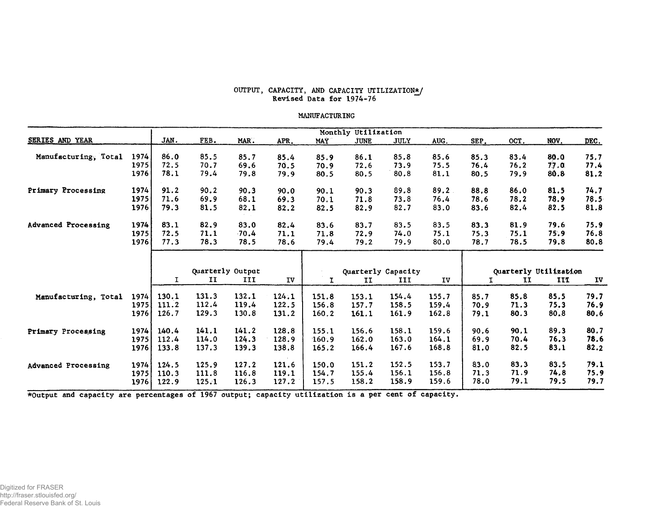#### OUTPUT, CAPACITY, AND CAPACITY UTILIZATION\*/ Revised Data for 1974-76

#### MANUFACTURING

|                            |      |              |                  |         |       |            | Monthly Utilization |             |       |      |                       |      |      |
|----------------------------|------|--------------|------------------|---------|-------|------------|---------------------|-------------|-------|------|-----------------------|------|------|
| SERIES AND YEAR            |      | JAN.         | FEB.             | MAR.    | APR.  | <b>MAY</b> | <b>JUNE</b>         | <b>JULY</b> | AUG.  | SEP. | OCT.                  | NOV. | DEC. |
| Manufacturing, Total       | 1974 | 86.0         | 85.5             | 85.7    | 85.4  | 85.9       | 86.1                | 85.8        | 85.6  | 85.3 | 83.4                  | 80.0 | 75.7 |
|                            | 1975 | 72.5         | 70.7             | 69.6    | 70.5  | 70.9       | 72.6                | 73.9        | 75.5  | 76.4 | 76.2                  | 77.0 | 77.4 |
|                            | 1976 | 78.1         | 79.4             | 79.8    | 79.9  | 80.5       | 80.5                | 80.8        | 81.1  | 80.5 | 79.9                  | 80.8 | 81.2 |
| Primary Processing         | 1974 | 91.2         | 90.2             | 90.3    | 90.0  | 90.1       | 90.3                | 89.8        | 89.2  | 88.8 | 86.0                  | 81.5 | 74.7 |
|                            | 1975 | 71.6         | 69.9             | 68.1    | 69.3  | 70.1       | 71.8                | 73.8        | 76.4  | 78.6 | 78.2                  | 78.9 | 78.5 |
|                            | 1976 | 79.3         | 81.5             | 82.1    | 82.2  | 82.5       | 82.9                | 82.7        | 83.0  | 83.6 | 82.4                  | 82.5 | 81.8 |
| <b>Advanced Processing</b> | 1974 | 83.1         | 82.9             | 83.0    | 82.4  | 83.6       | 83.7                | 83.5        | 83.5  | 83.3 | 81.9                  | 79.6 | 75.9 |
|                            | 1975 | 72.5         | 71.1             | $-70.4$ | 71.1  | 71.8       | 72.9                | 74.0        | 75.1  | 75.3 | 75.1                  | 75.9 | 76.8 |
|                            | 1976 | 77.3         | 78.3             | 78.5    | 78.6  | 79.4       | 79.2                | 79.9        | 80.0  | 78.7 | 78.5                  | 79.8 | 80.8 |
|                            |      |              |                  |         |       |            |                     |             |       |      |                       |      |      |
|                            |      |              | Quarterly Output |         |       |            | Quarterly Capacity  |             |       |      | Quarterly Utilization |      |      |
|                            |      | $\mathbf{I}$ | II               | III     | IV    | <b>I</b>   | II                  | III         | IV    |      | II                    | III  | ŢV   |
| Manufacturing, Total       | 1974 | 130.1        | 131.3            | 132.1   | 124.1 | 151.8      | 153.1               | 154.4       | 155.7 | 85.7 | 85.8                  | 85.5 | 79.7 |
|                            | 1975 | 111.2        | 112.4            | 119.4   | 122.5 | 156.8      | 157.7               | 158.5       | 159.4 | 70.9 | 71.3                  | 75.3 | 76.9 |
|                            | 1976 | 126.7        | 129.3            | 130.8   | 131.2 | 160.2      | 161.1               | 161.9       | 162.8 | 79.1 | 80.3                  | 80.8 | 80.6 |
| Primary Processing         | 1974 | 140.4        | 141.1            | 141.2   | 128.8 | 155.1      | 156.6               | 158.1       | 159.6 | 90.6 | 90.1                  | 89.3 | 80.7 |
|                            | 1975 | 112.4        | 114.0            | 124.3   | 128.9 | 160.9      | 162.0               | 163.0       | 164.1 | 69.9 | 70.4                  | 76.3 | 78.6 |
|                            | 1976 | 133.8        | 137.3            | 139.3   | 138.8 | 165.2      | 166.4               | 167.6       | 168.8 | 81.0 | 82.5                  | 83.1 | 82.2 |
| Advanced Processing        | 1974 | 124.5        | 125.9            | 127.2   | 121.6 | 150.0      | 151.2               | 152.5       | 153.7 | 83.0 | 83.3                  | 83.5 | 79.1 |
|                            | 1975 | 110.3        | 111.8            | 116.8   | 119.1 | 154.7      | 155.4               | 156.1       | 156.8 | 71.3 | 71.9                  | 74.8 | 75.9 |
|                            | 1976 | 122.9        | 125.1            | 126.3   | 127.2 | 157.5      | 158.2               | 158.9       | 159.6 | 78.0 | 79.1                  | 79.5 | 79.7 |

\*Output and capacity are percentages of 1967 output; capacity utilization is a per cent of capacity.